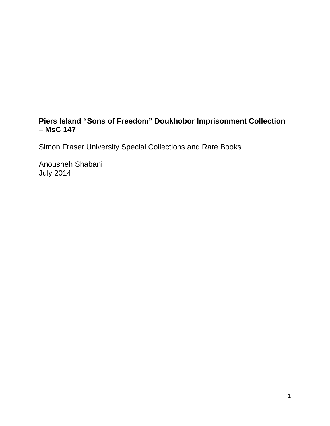# **Piers Island "Sons of Freedom" Doukhobor Imprisonment Collection – MsC 147**

Simon Fraser University Special Collections and Rare Books

Anousheh Shabani July 2014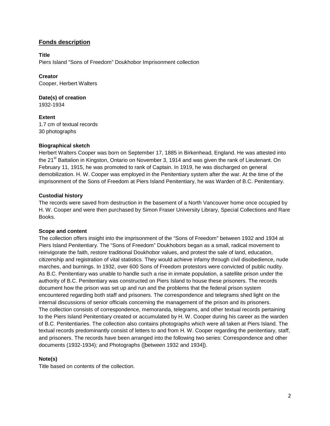## **Fonds description**

#### **Title**

Piers Island "Sons of Freedom" Doukhobor Imprisonment collection

## **Creator**

Cooper, Herbert Walters

**Date(s) of creation** 1932-1934

**Extent** 1.7 cm of textual records 30 photographs

#### **Biographical sketch**

Herbert Walters Cooper was born on September 17, 1885 in Birkenhead, England. He was attested into the 21<sup>st</sup> Battalion in Kingston, Ontario on November 3, 1914 and was given the rank of Lieutenant. On February 11, 1915, he was promoted to rank of Captain. In 1919, he was discharged on general demobilization. H. W. Cooper was employed in the Penitentiary system after the war. At the time of the imprisonment of the Sons of Freedom at Piers Island Penitentiary, he was Warden of B.C. Penitentiary.

## **Custodial history**

The records were saved from destruction in the basement of a North Vancouver home once occupied by H. W. Cooper and were then purchased by Simon Fraser University Library, Special Collections and Rare Books.

#### **Scope and content**

The collection offers insight into the imprisonment of the "Sons of Freedom" between 1932 and 1934 at Piers Island Penitentiary. The "Sons of Freedom" Doukhobors began as a small, radical movement to reinvigorate the faith, restore traditional Doukhobor values, and protest the sale of land, education, citizenship and registration of vital statistics. They would achieve infamy through civil disobedience, nude marches, and burnings. In 1932, over 600 Sons of Freedom protestors were convicted of public nudity. As B.C. Penitentiary was unable to handle such a rise in inmate population, a satellite prison under the authority of B.C. Penitentiary was constructed on Piers Island to house these prisoners. The records document how the prison was set up and run and the problems that the federal prison system encountered regarding both staff and prisoners. The correspondence and telegrams shed light on the internal discussions of senior officials concerning the management of the prison and its prisoners. The collection consists of correspondence, memoranda, telegrams, and other textual records pertaining to the Piers Island Penitentiary created or accumulated by H. W. Cooper during his career as the warden of B.C. Penitentiaries. The collection also contains photographs which were all taken at Piers Island. The textual records predominantly consist of letters to and from H. W. Cooper regarding the penitentiary, staff, and prisoners. The records have been arranged into the following two series: Correspondence and other documents (1932-1934); and Photographs ([between 1932 and 1934]).

#### **Note(s)**

Title based on contents of the collection.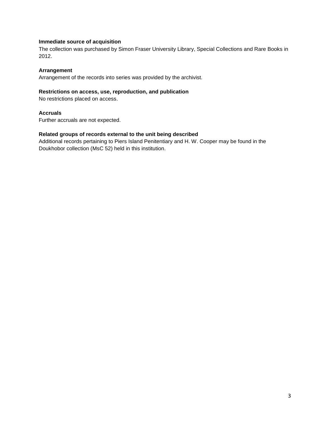#### **Immediate source of acquisition**

The collection was purchased by Simon Fraser University Library, Special Collections and Rare Books in 2012.

#### **Arrangement**

Arrangement of the records into series was provided by the archivist.

#### **Restrictions on access, use, reproduction, and publication**

No restrictions placed on access.

#### **Accruals**

Further accruals are not expected.

#### **Related groups of records external to the unit being described**

Additional records pertaining to Piers Island Penitentiary and H. W. Cooper may be found in the Doukhobor collection (MsC 52) held in this institution.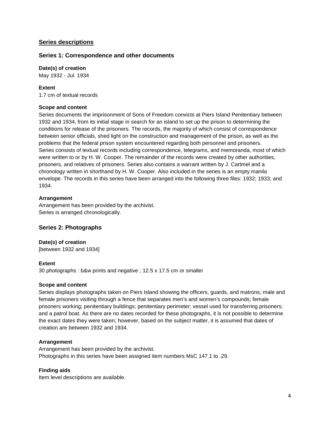## **Series descriptions**

#### **Series 1: Correspondence and other documents**

**Date(s) of creation** May 1932 - Jul. 1934

### **Extent**

1.7 cm of textual records

#### **Scope and content**

Series documents the imprisonment of Sons of Freedom convicts at Piers Island Penitentiary between 1932 and 1934, from its initial stage in search for an island to set up the prison to determining the conditions for release of the prisoners. The records, the majority of which consist of correspondence between senior officials, shed light on the construction and management of the prison, as well as the problems that the federal prison system encountered regarding both personnel and prisoners. Series consists of textual records including correspondence, telegrams, and memoranda, most of which were written to or by H. W. Cooper. The remainder of the records were created by other authorities, prisoners, and relatives of prisoners. Series also contains a warrant written by J. Cartmel and a chronology written in shorthand by H. W. Cooper. Also included in the series is an empty manila envelope. The records in this series have been arranged into the following three files: 1932; 1933; and 1934.

#### **Arrangement**

Arrangement has been provided by the archivist. Series is arranged chronologically.

## **Series 2: Photographs**

## **Date(s) of creation**

[between 1932 and 1934]

#### **Extent**

30 photographs : b&w prints and negative ; 12.5 x 17.5 cm or smaller

#### **Scope and content**

Series displays photographs taken on Piers Island showing the officers, guards, and matrons; male and female prisoners visiting through a fence that separates men's and women's compounds; female prisoners working; penitentiary buildings; penitentiary perimeter; vessel used for transferring prisoners; and a patrol boat. As there are no dates recorded for these photographs, it is not possible to determine the exact dates they were taken; however, based on the subject matter, it is assumed that dates of creation are between 1932 and 1934.

#### **Arrangement**

Arrangement has been provided by the archivist. Photographs in this series have been assigned item numbers MsC 147.1 to .29.

#### **Finding aids**

Item level descriptions are available.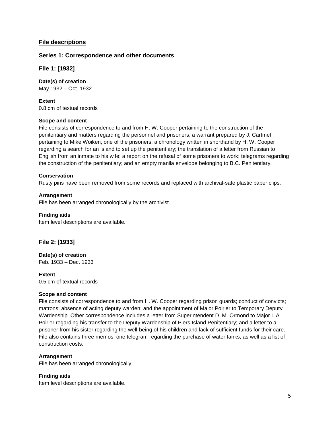## **File descriptions**

### **Series 1: Correspondence and other documents**

**File 1: [1932]**

**Date(s) of creation** May 1932 – Oct. 1932

**Extent** 0.8 cm of textual records

#### **Scope and content**

File consists of correspondence to and from H. W. Cooper pertaining to the construction of the penitentiary and matters regarding the personnel and prisoners; a warrant prepared by J. Cartmel pertaining to Mike Woiken, one of the prisoners; a chronology written in shorthand by H. W. Cooper regarding a search for an island to set up the penitentiary; the translation of a letter from Russian to English from an inmate to his wife; a report on the refusal of some prisoners to work; telegrams regarding the construction of the penitentiary; and an empty manila envelope belonging to B.C. Penitentiary.

#### **Conservation**

Rusty pins have been removed from some records and replaced with archival-safe plastic paper clips.

#### **Arrangement**

File has been arranged chronologically by the archivist.

#### **Finding aids**

Item level descriptions are available.

## **File 2: [1933]**

## **Date(s) of creation**

Feb. 1933 – Dec. 1933

#### **Extent**

0.5 cm of textual records

#### **Scope and content**

File consists of correspondence to and from H. W. Cooper regarding prison guards; conduct of convicts; matrons; absence of acting deputy warden; and the appointment of Major Poirier to Temporary Deputy Wardenship. Other correspondence includes a letter from Superintendent D. M. Ormond to Major I. A. Poirier regarding his transfer to the Deputy Wardenship of Piers Island Penitentiary; and a letter to a prisoner from his sister regarding the well-being of his children and lack of sufficient funds for their care. File also contains three memos; one telegram regarding the purchase of water tanks; as well as a list of construction costs.

#### **Arrangement**

File has been arranged chronologically.

#### **Finding aids**

Item level descriptions are available.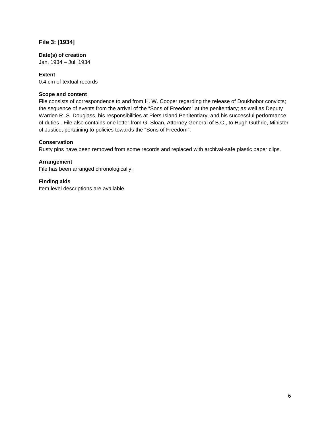## **File 3: [1934]**

### **Date(s) of creation**

Jan. 1934 – Jul. 1934

## **Extent**

0.4 cm of textual records

#### **Scope and content**

File consists of correspondence to and from H. W. Cooper regarding the release of Doukhobor convicts; the sequence of events from the arrival of the "Sons of Freedom" at the penitentiary; as well as Deputy Warden R. S. Douglass, his responsibilities at Piers Island Penitentiary, and his successful performance of duties . File also contains one letter from G. Sloan, Attorney General of B.C., to Hugh Guthrie, Minister of Justice, pertaining to policies towards the "Sons of Freedom".

#### **Conservation**

Rusty pins have been removed from some records and replaced with archival-safe plastic paper clips.

## **Arrangement**

File has been arranged chronologically.

## **Finding aids**

Item level descriptions are available.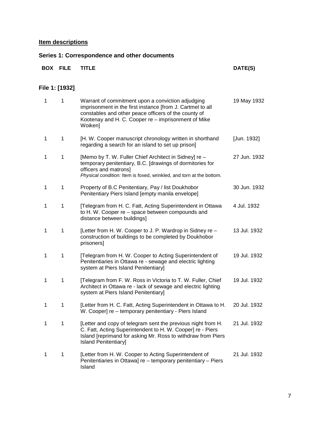## **Item descriptions**

## **Series 1: Correspondence and other documents**

| <b>BOX</b> | <b>FILE</b>    | <b>TITLE</b>                                                                                                                                                                                                                              | DATE(S)      |
|------------|----------------|-------------------------------------------------------------------------------------------------------------------------------------------------------------------------------------------------------------------------------------------|--------------|
|            | File 1: [1932] |                                                                                                                                                                                                                                           |              |
| 1          | 1              | Warrant of commitment upon a conviction adjudging<br>imprisonment in the first instance [from J. Cartmel to all<br>constables and other peace officers of the county of<br>Kootenay and H. C. Cooper re – imprisonment of Mike<br>Woiken] | 19 May 1932  |
| 1          | $\mathbf 1$    | [H. W. Cooper manuscript chronology written in shorthand<br>regarding a search for an island to set up prison]                                                                                                                            | [Jun. 1932]  |
| 1          | 1              | [Memo by T. W. Fuller Chief Architect in Sidney] re -<br>temporary penitentiary, B.C. [drawings of dormitories for<br>officers and matrons]<br>Physical condition: Item is foxed, wrinkled, and torn at the bottom.                       | 27 Jun. 1932 |
| 1          | $\mathbf{1}$   | Property of B.C Penitentiary, Pay / list Doukhobor<br>Penitentiary Piers Island [empty manila envelope]                                                                                                                                   | 30 Jun. 1932 |
| 1          | 1              | [Telegram from H. C. Fatt, Acting Superintendent in Ottawa<br>to H. W. Cooper re - space between compounds and<br>distance between buildings]                                                                                             | 4 Jul. 1932  |
| 1          | 1              | [Letter from H. W. Cooper to J. P. Wardrop in Sidney re -<br>construction of buildings to be completed by Doukhobor<br>prisoners]                                                                                                         | 13 Jul. 1932 |
| 1          | $\mathbf{1}$   | [Telegram from H. W. Cooper to Acting Superintendent of<br>Penitentiaries in Ottawa re - sewage and electric lighting<br>system at Piers Island Penitentiary]                                                                             | 19 Jul. 1932 |
| 1          | 1              | [Telegram from F. W. Ross in Victoria to T. W. Fuller, Chief<br>Architect in Ottawa re - lack of sewage and electric lighting<br>system at Piers Island Penitentiary]                                                                     | 19 Jul. 1932 |
| 1          | 1              | [Letter from H. C. Fatt, Acting Superintendent in Ottawa to H.<br>W. Cooper] re - temporary penitentiary - Piers Island                                                                                                                   | 20 Jul. 1932 |
| 1          | 1              | [Letter and copy of telegram sent the previous night from H.<br>C. Fatt, Acting Superintendent to H. W. Cooper] re - Piers<br>Island [reprimand for asking Mr. Ross to withdraw from Piers<br><b>Island Penitentiary</b>                  | 21 Jul. 1932 |
| 1          | 1              | [Letter from H. W. Cooper to Acting Superintendent of<br>Penitentiaries in Ottawa] re - temporary penitentiary - Piers<br>Island                                                                                                          | 21 Jul. 1932 |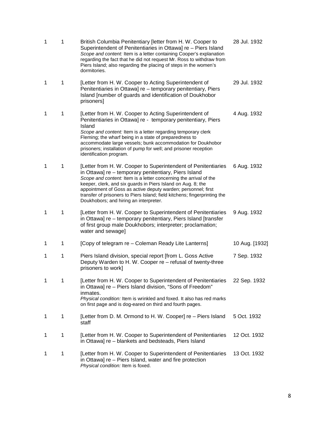| 1 | 1 | British Columbia Penitentiary (letter from H. W. Cooper to<br>Superintendent of Penitentiaries in Ottawa] re - Piers Island<br>Scope and content: Item is a letter containing Cooper's explanation<br>regarding the fact that he did not request Mr. Ross to withdraw from<br>Piers Island; also regarding the placing of steps in the women's<br>dormitories.                                                                                     | 28 Jul. 1932   |
|---|---|----------------------------------------------------------------------------------------------------------------------------------------------------------------------------------------------------------------------------------------------------------------------------------------------------------------------------------------------------------------------------------------------------------------------------------------------------|----------------|
| 1 | 1 | [Letter from H. W. Cooper to Acting Superintendent of<br>Penitentiaries in Ottawa] re - temporary penitentiary, Piers<br>Island [number of guards and identification of Doukhobor<br>prisoners]                                                                                                                                                                                                                                                    | 29 Jul. 1932   |
| 1 | 1 | [Letter from H. W. Cooper to Acting Superintendent of<br>Penitentiaries in Ottawa] re - temporary penitentiary, Piers<br>Island<br>Scope and content: Item is a letter regarding temporary clerk<br>Fleming; the wharf being in a state of preparedness to<br>accommodate large vessels; bunk accommodation for Doukhobor<br>prisoners; installation of pump for well; and prisoner reception<br>identification program.                           | 4 Aug. 1932    |
| 1 | 1 | [Letter from H. W. Cooper to Superintendent of Penitentiaries<br>in Ottawa] re - temporary penitentiary, Piers Island<br>Scope and content: Item is a letter concerning the arrival of the<br>keeper, clerk, and six guards in Piers Island on Aug. 8; the<br>appointment of Goss as active deputy warden; personnel; first<br>transfer of prisoners to Piers Island; field kitchens; fingerprinting the<br>Doukhobors; and hiring an interpreter. | 6 Aug. 1932    |
| 1 | 1 | [Letter from H. W. Cooper to Superintendent of Penitentiaries<br>in Ottawa] re - temporary penitentiary, Piers Island [transfer<br>of first group male Doukhobors; interpreter; proclamation;<br>water and sewage]                                                                                                                                                                                                                                 | 9 Aug. 1932    |
| 1 | 1 | [Copy of telegram re – Coleman Ready Lite Lanterns]                                                                                                                                                                                                                                                                                                                                                                                                | 10 Aug. [1932] |
| 1 | 1 | Piers Island division, special report [from L. Goss Active<br>Deputy Warden to H. W. Cooper re - refusal of twenty-three<br>prisoners to work]                                                                                                                                                                                                                                                                                                     | 7 Sep. 1932    |
| 1 | 1 | [Letter from H. W. Cooper to Superintendent of Penitentiaries<br>in Ottawa] re - Piers Island division, "Sons of Freedom"<br>inmates.<br>Physical condition: Item is wrinkled and foxed. It also has red marks<br>on first page and is dog-eared on third and fourth pages.                                                                                                                                                                        | 22 Sep. 1932   |
| 1 | 1 | [Letter from D. M. Ormond to H. W. Cooper] re – Piers Island<br>staff                                                                                                                                                                                                                                                                                                                                                                              | 5 Oct. 1932    |
| 1 | 1 | [Letter from H. W. Cooper to Superintendent of Penitentiaries<br>in Ottawa] re - blankets and bedsteads, Piers Island                                                                                                                                                                                                                                                                                                                              | 12 Oct. 1932   |
| 1 | 1 | [Letter from H. W. Cooper to Superintendent of Penitentiaries<br>in Ottawa] re - Piers Island, water and fire protection<br>Physical condition: Item is foxed.                                                                                                                                                                                                                                                                                     | 13 Oct. 1932   |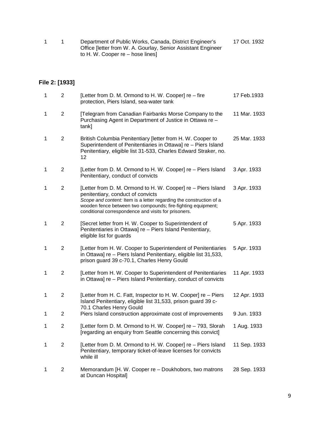|  | 17 Oct. 1932                                                 |  |
|--|--------------------------------------------------------------|--|
|  | Office [letter from W. A. Gourlay, Senior Assistant Engineer |  |
|  | to H. W. Cooper re – hose lines]                             |  |

## **File 2: [1933]**

| 1 | $\overline{2}$ | [Letter from D. M. Ormond to H. W. Cooper] re - fire<br>protection, Piers Island, sea-water tank                                                                                                                                                                                                 | 17 Feb.1933  |
|---|----------------|--------------------------------------------------------------------------------------------------------------------------------------------------------------------------------------------------------------------------------------------------------------------------------------------------|--------------|
| 1 | $\overline{2}$ | [Telegram from Canadian Fairbanks Morse Company to the<br>Purchasing Agent in Department of Justice in Ottawa re -<br>tank]                                                                                                                                                                      | 11 Mar. 1933 |
| 1 | $\overline{c}$ | British Columbia Penitentiary [letter from H. W. Cooper to<br>Superintendent of Penitentiaries in Ottawa] re - Piers Island<br>Penitentiary, eligible list 31-533, Charles Edward Straker, no.<br>12                                                                                             | 25 Mar. 1933 |
| 1 | $\overline{2}$ | [Letter from D. M. Ormond to H. W. Cooper] re – Piers Island<br>Penitentiary, conduct of convicts                                                                                                                                                                                                | 3 Apr. 1933  |
| 1 | $\overline{2}$ | [Letter from D. M. Ormond to H. W. Cooper] re - Piers Island<br>penitentiary, conduct of convicts<br>Scope and content: Item is a letter regarding the construction of a<br>wooden fence between two compounds; fire-fighting equipment;<br>conditional correspondence and visits for prisoners. | 3 Apr. 1933  |
| 1 | $\overline{2}$ | [Secret letter from H. W. Cooper to Superintendent of<br>Penitentiaries in Ottawa] re - Piers Island Penitentiary,<br>eligible list for guards                                                                                                                                                   | 5 Apr. 1933  |
| 1 | $\overline{2}$ | [Letter from H. W. Cooper to Superintendent of Penitentiaries<br>in Ottawa] re - Piers Island Penitentiary, eligible list 31,533,<br>prison guard 39 c-70.1, Charles Henry Gould                                                                                                                 | 5 Apr. 1933  |
| 1 | $\overline{2}$ | [Letter from H. W. Cooper to Superintendent of Penitentiaries<br>in Ottawa] re - Piers Island Penitentiary, conduct of convicts                                                                                                                                                                  | 11 Apr. 1933 |
| 1 | $\overline{c}$ | [Letter from H. C. Fatt, Inspector to H. W. Cooper] re - Piers<br>Island Penitentiary, eligible list 31,533, prison guard 39 c-<br>70.1 Charles Henry Gould                                                                                                                                      | 12 Apr. 1933 |
| 1 | $\overline{c}$ | Piers Island construction approximate cost of improvements                                                                                                                                                                                                                                       | 9 Jun. 1933  |
| 1 | 2              | [Letter form D. M. Ormond to H. W. Cooper] re - 793, Slorah<br>[regarding an enquiry from Seattle concerning this convict]                                                                                                                                                                       | 1 Aug. 1933  |
| 1 | $\overline{2}$ | [Letter from D. M. Ormond to H. W. Cooper] re – Piers Island<br>Penitentiary, temporary ticket-of-leave licenses for convicts<br>while ill                                                                                                                                                       | 11 Sep. 1933 |
| 1 | $\overline{2}$ | Memorandum [H. W. Cooper re - Doukhobors, two matrons<br>at Duncan Hospital]                                                                                                                                                                                                                     | 28 Sep. 1933 |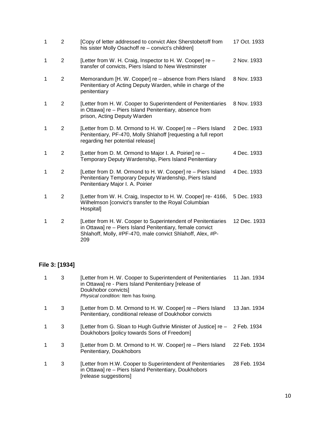| $\mathbf{1}$ | $\overline{2}$ | [Copy of letter addressed to convict Alex Sherstobetoff from<br>his sister Molly Osachoff re - convict's children]                                                                              | 17 Oct. 1933 |
|--------------|----------------|-------------------------------------------------------------------------------------------------------------------------------------------------------------------------------------------------|--------------|
| 1            | $\overline{2}$ | [Letter from W. H. Craig, Inspector to H. W. Cooper] re -<br>transfer of convicts, Piers Island to New Westminster                                                                              | 2 Nov. 1933  |
| 1            | $\overline{2}$ | Memorandum [H. W. Cooper] re - absence from Piers Island<br>Penitentiary of Acting Deputy Warden, while in charge of the<br>penitentiary                                                        | 8 Nov. 1933  |
| 1            | $\overline{2}$ | [Letter from H. W. Cooper to Superintendent of Penitentiaries<br>in Ottawa] re - Piers Island Penitentiary, absence from<br>prison, Acting Deputy Warden                                        | 8 Nov. 1933  |
| $\mathbf{1}$ | 2              | [Letter from D. M. Ormond to H. W. Cooper] re - Piers Island<br>Penitentiary, PF-470, Molly Shlahoff [requesting a full report<br>regarding her potential release]                              | 2 Dec. 1933  |
| 1            | 2              | [Letter from D. M. Ormond to Major I. A. Poirier] re -<br>Temporary Deputy Wardenship, Piers Island Penitentiary                                                                                | 4 Dec. 1933  |
| 1            | $\overline{2}$ | [Letter from D. M. Ormond to H. W. Cooper] re - Piers Island<br>Penitentiary Temporary Deputy Wardenship, Piers Island<br>Penitentiary Major I. A. Poirier                                      | 4 Dec. 1933  |
| 1            | $\overline{2}$ | [Letter from W. H. Craig, Inspector to H. W. Cooper] re- 4166,<br>Wilhelmson [convict's transfer to the Royal Columbian<br>Hospital]                                                            | 5 Dec. 1933  |
| 1            | $\overline{2}$ | [Letter from H. W. Cooper to Superintendent of Penitentiaries<br>in Ottawa] re - Piers Island Penitentiary, female convict<br>Shlahoff, Molly, #PF-470, male convict Shlahoff, Alex, #P-<br>209 | 12 Dec. 1933 |

# **File 3: [1934]**

| 3 | [Letter from H. W. Cooper to Superintendent of Penitentiaries 11 Jan. 1934<br>in Ottawa] re - Piers Island Penitentiary [release of<br>Doukhobor convicts]<br>Physical condition: Item has foxing. |              |
|---|----------------------------------------------------------------------------------------------------------------------------------------------------------------------------------------------------|--------------|
| 3 | [Letter from D. M. Ormond to H. W. Cooper] re – Piers Island<br>Penitentiary, conditional release of Doukhobor convicts                                                                            | 13 Jan. 1934 |
| 3 | [Letter from G. Sloan to Hugh Guthrie Minister of Justice] re - 2 Feb. 1934<br>Doukhobors [policy towards Sons of Freedom]                                                                         |              |
| 3 | [Letter from D. M. Ormond to H. W. Cooper] re – Piers Island<br>Penitentiary, Doukhobors                                                                                                           | 22 Feb. 1934 |
| 3 | [Letter from H.W. Cooper to Superintendent of Penitentiaries<br>in Ottawa] re - Piers Island Penitentiary, Doukhobors<br>[release suggestions]                                                     | 28 Feb. 1934 |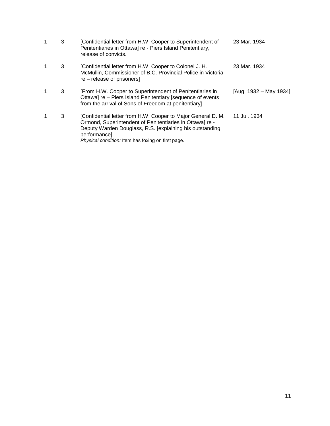|   | 3 | [Confidential letter from H.W. Cooper to Superintendent of<br>Penitentiaries in Ottawa] re - Piers Island Penitentiary,<br>release of convicts.                                                                                                            | 23 Mar. 1934           |
|---|---|------------------------------------------------------------------------------------------------------------------------------------------------------------------------------------------------------------------------------------------------------------|------------------------|
| 1 | 3 | [Confidential letter from H.W. Cooper to Colonel J. H.<br>McMullin, Commissioner of B.C. Provincial Police in Victoria<br>$re$ – release of prisoners                                                                                                      | 23 Mar. 1934           |
|   | 3 | [From H.W. Cooper to Superintendent of Penitentiaries in<br>Ottawa] re – Piers Island Penitentiary [sequence of events<br>from the arrival of Sons of Freedom at penitentiary]                                                                             | [Aug. 1932 – May 1934] |
|   | 3 | [Confidential letter from H.W. Cooper to Major General D. M.<br>Ormond, Superintendent of Penitentiaries in Ottawal re -<br>Deputy Warden Douglass, R.S. [explaining his outstanding<br>performance]<br>Physical condition: Item has foxing on first page. | 11 Jul. 1934           |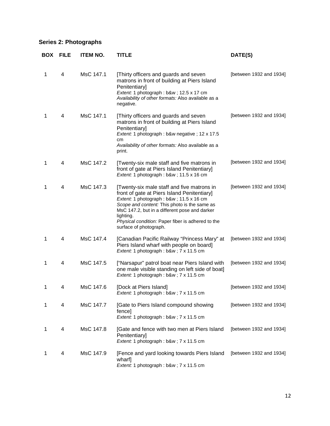## **Series 2: Photographs**

| <b>BOX</b> | <b>FILE</b> | <b>ITEM NO.</b> | TITLE                                                                                                                                                                                                                                                                                                                               | DATE(S)                 |
|------------|-------------|-----------------|-------------------------------------------------------------------------------------------------------------------------------------------------------------------------------------------------------------------------------------------------------------------------------------------------------------------------------------|-------------------------|
| 1          | 4           | MsC 147.1       | [Thirty officers and guards and seven<br>matrons in front of building at Piers Island<br>Penitentiary]<br>Extent: 1 photograph : b&w ; 12.5 x 17 cm<br>Availability of other formats: Also available as a<br>negative.                                                                                                              | [between 1932 and 1934] |
| 1          | 4           | MsC 147.1       | [Thirty officers and guards and seven<br>matrons in front of building at Piers Island<br>Penitentiary]<br>Extent: 1 photograph : b&w negative ; 12 x 17.5<br>cm<br>Availability of other formats: Also available as a<br>print.                                                                                                     | [between 1932 and 1934] |
| 1          | 4           | MsC 147.2       | [Twenty-six male staff and five matrons in<br>front of gate at Piers Island Penitentiary]<br>Extent: 1 photograph : b&w ; 11.5 x 16 cm                                                                                                                                                                                              | [between 1932 and 1934] |
| 1          | 4           | MsC 147.3       | [Twenty-six male staff and five matrons in<br>front of gate at Piers Island Penitentiary]<br>Extent: 1 photograph : b&w ; 11.5 x 16 cm<br>Scope and content: This photo is the same as<br>MsC 147.2, but in a different pose and darker<br>lighting.<br>Physical condition: Paper fiber is adhered to the<br>surface of photograph. | [between 1932 and 1934] |
| 1          | 4           | MsC 147.4       | [Canadian Pacific Railway "Princess Mary" at<br>Piers Island wharf with people on board]<br>Extent: 1 photograph: b&w 7 x 11.5 cm                                                                                                                                                                                                   | [between 1932 and 1934] |
| 1          | 4           | MsC 147.5       | ["Narsapur" patrol boat near Piers Island with<br>one male visible standing on left side of boat]<br>Extent: 1 photograph: b&w 7 x 11.5 cm                                                                                                                                                                                          | [between 1932 and 1934] |
| 1          | 4           | MsC 147.6       | [Dock at Piers Island]<br>Extent: 1 photograph: b&w 7 x 11.5 cm                                                                                                                                                                                                                                                                     | [between 1932 and 1934] |
| 1          | 4           | MsC 147.7       | [Gate to Piers Island compound showing<br>fence]<br>Extent: 1 photograph: b&w 7 x 11.5 cm                                                                                                                                                                                                                                           | [between 1932 and 1934] |
| 1          | 4           | MsC 147.8       | [Gate and fence with two men at Piers Island<br>Penitentiary]<br>Extent: 1 photograph: b&w 7 x 11.5 cm                                                                                                                                                                                                                              | [between 1932 and 1934] |
| 1          | 4           | MsC 147.9       | [Fence and yard looking towards Piers Island<br>wharf]<br>Extent: 1 photograph: b&w 7 x 11.5 cm                                                                                                                                                                                                                                     | [between 1932 and 1934] |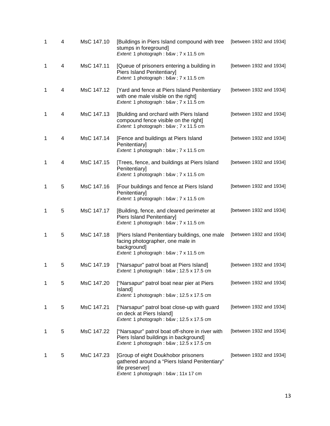| 1 | 4 | MsC 147.10 | [Buildings in Piers Island compound with tree<br>stumps in foreground]<br>Extent: 1 photograph: b&w 7 x 11.5 cm                                   | [between 1932 and 1934] |
|---|---|------------|---------------------------------------------------------------------------------------------------------------------------------------------------|-------------------------|
| 1 | 4 | MsC 147.11 | [Queue of prisoners entering a building in<br>Piers Island Penitentiary]<br>Extent: 1 photograph: b&w 7 x 11.5 cm                                 | [between 1932 and 1934] |
| 1 | 4 | MsC 147.12 | [Yard and fence at Piers Island Penitentiary<br>with one male visible on the right]<br>Extent: 1 photograph: b&w 7 x 11.5 cm                      | [between 1932 and 1934] |
| 1 | 4 | MsC 147.13 | [Building and orchard with Piers Island<br>compound fence visible on the right]<br>Extent: 1 photograph: b&w 7 x 11.5 cm                          | [between 1932 and 1934] |
| 1 | 4 | MsC 147.14 | [Fence and buildings at Piers Island<br>Penitentiary]<br>Extent: 1 photograph: b&w 7 x 11.5 cm                                                    | [between 1932 and 1934] |
| 1 | 4 | MsC 147.15 | [Trees, fence, and buildings at Piers Island<br>Penitentiary]<br>Extent: 1 photograph: b&w 7 x 11.5 cm                                            | [between 1932 and 1934] |
| 1 | 5 | MsC 147.16 | [Four buildings and fence at Piers Island<br>Penitentiary]<br>Extent: 1 photograph: b&w 7 x 11.5 cm                                               | [between 1932 and 1934] |
| 1 | 5 | MsC 147.17 | [Building, fence, and cleared perimeter at<br>Piers Island Penitentiary]<br>Extent: 1 photograph: b&w 7 x 11.5 cm                                 | [between 1932 and 1934] |
| 1 | 5 | MsC 147.18 | [Piers Island Penitentiary buildings, one male<br>facing photographer, one male in<br>background]<br>Extent: 1 photograph : b&w ; 7 x 11.5 cm     | [between 1932 and 1934] |
| 1 | 5 | MsC 147.19 | ["Narsapur" patrol boat at Piers Island]<br>Extent: 1 photograph: b&w 12.5 x 17.5 cm                                                              | [between 1932 and 1934] |
| 1 | 5 | MsC 147.20 | ["Narsapur" patrol boat near pier at Piers<br>Island]<br>Extent: 1 photograph: b&w 12.5 x 17.5 cm                                                 | [between 1932 and 1934] |
| 1 | 5 | MsC 147.21 | ["Narsapur" patrol boat close-up with guard<br>on deck at Piers Island]<br>Extent: 1 photograph: b&w 12.5 x 17.5 cm                               | [between 1932 and 1934] |
| 1 | 5 | MsC 147.22 | ["Narsapur" patrol boat off-shore in river with<br>Piers Island buildings in background]<br>Extent: 1 photograph: b&w 12.5 x 17.5 cm              | [between 1932 and 1934] |
| 1 | 5 | MsC 147.23 | [Group of eight Doukhobor prisoners<br>gathered around a "Piers Island Penitentiary"<br>life preserver]<br>Extent: 1 photograph : b&w ; 11x 17 cm | [between 1932 and 1934] |